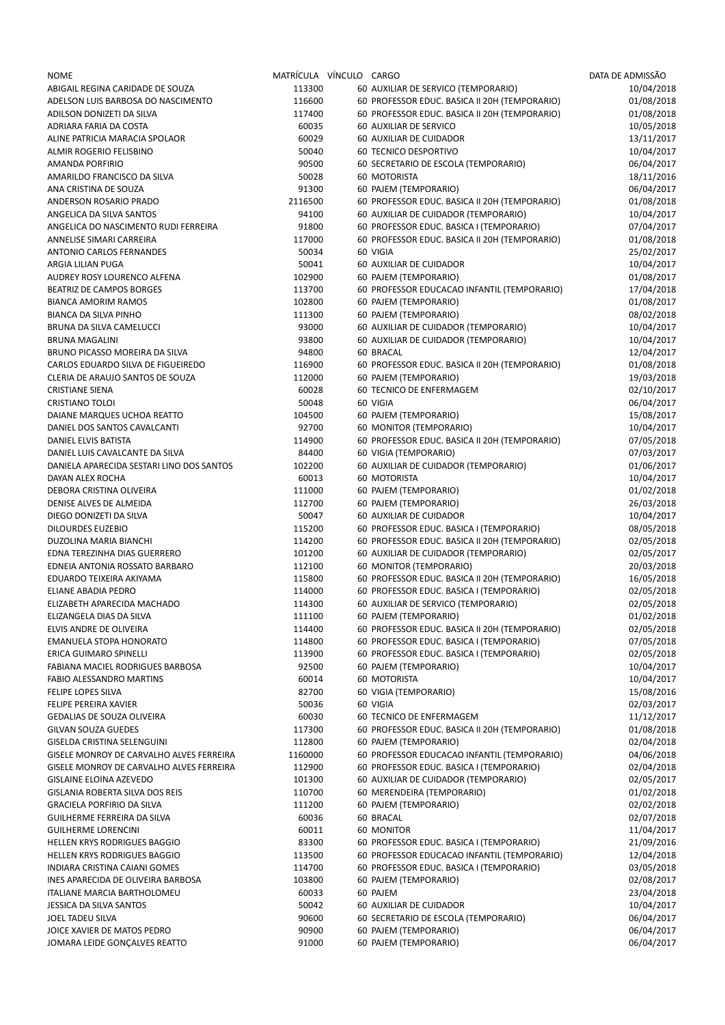| <b>NOME</b>                               | MATRICULA VINCULO CARGO |                                               | DATA DE ADMISSÃO |
|-------------------------------------------|-------------------------|-----------------------------------------------|------------------|
| ABIGAIL REGINA CARIDADE DE SOUZA          | 113300                  | 60 AUXILIAR DE SERVICO (TEMPORARIO)           | 10/04/2018       |
| ADELSON LUIS BARBOSA DO NASCIMENTO        | 116600                  | 60 PROFESSOR EDUC. BASICA II 20H (TEMPORARIO) | 01/08/2018       |
| ADILSON DONIZETI DA SILVA                 | 117400                  | 60 PROFESSOR EDUC. BASICA II 20H (TEMPORARIO) | 01/08/2018       |
| ADRIARA FARIA DA COSTA                    | 60035                   | 60 AUXILIAR DE SERVICO                        | 10/05/2018       |
| ALINE PATRICIA MARACIA SPOLAOR            | 60029                   | 60 AUXILIAR DE CUIDADOR                       | 13/11/2017       |
| ALMIR ROGERIO FELISBINO                   | 50040                   | 60 TECNICO DESPORTIVO                         | 10/04/2017       |
|                                           |                         |                                               |                  |
| <b>AMANDA PORFIRIO</b>                    | 90500                   | 60 SECRETARIO DE ESCOLA (TEMPORARIO)          | 06/04/2017       |
| AMARILDO FRANCISCO DA SILVA               | 50028                   | 60 MOTORISTA                                  | 18/11/2016       |
| ANA CRISTINA DE SOUZA                     | 91300                   | 60 PAJEM (TEMPORARIO)                         | 06/04/2017       |
| ANDERSON ROSARIO PRADO                    | 2116500                 | 60 PROFESSOR EDUC. BASICA II 20H (TEMPORARIO) | 01/08/2018       |
| ANGELICA DA SILVA SANTOS                  | 94100                   | 60 AUXILIAR DE CUIDADOR (TEMPORARIO)          | 10/04/2017       |
| ANGELICA DO NASCIMENTO RUDI FERREIRA      | 91800                   | 60 PROFESSOR EDUC. BASICA I (TEMPORARIO)      | 07/04/2017       |
| ANNELISE SIMARI CARREIRA                  | 117000                  | 60 PROFESSOR EDUC. BASICA II 20H (TEMPORARIO) | 01/08/2018       |
| <b>ANTONIO CARLOS FERNANDES</b>           | 50034                   | 60 VIGIA                                      | 25/02/2017       |
| ARGIA LILIAN PUGA                         | 50041                   | 60 AUXILIAR DE CUIDADOR                       | 10/04/2017       |
|                                           |                         |                                               |                  |
| AUDREY ROSY LOURENCO ALFENA               | 102900                  | 60 PAJEM (TEMPORARIO)                         | 01/08/2017       |
| BEATRIZ DE CAMPOS BORGES                  | 113700                  | 60 PROFESSOR EDUCACAO INFANTIL (TEMPORARIO)   | 17/04/2018       |
| <b>BIANCA AMORIM RAMOS</b>                | 102800                  | 60 PAJEM (TEMPORARIO)                         | 01/08/2017       |
| <b>BIANCA DA SILVA PINHO</b>              | 111300                  | 60 PAJEM (TEMPORARIO)                         | 08/02/2018       |
| BRUNA DA SILVA CAMELUCCI                  | 93000                   | 60 AUXILIAR DE CUIDADOR (TEMPORARIO)          | 10/04/2017       |
| <b>BRUNA MAGALINI</b>                     | 93800                   | 60 AUXILIAR DE CUIDADOR (TEMPORARIO)          | 10/04/2017       |
| BRUNO PICASSO MOREIRA DA SILVA            | 94800                   | 60 BRACAL                                     | 12/04/2017       |
| CARLOS EDUARDO SILVA DE FIGUEIREDO        | 116900                  | 60 PROFESSOR EDUC. BASICA II 20H (TEMPORARIO) | 01/08/2018       |
| CLERIA DE ARAUJO SANTOS DE SOUZA          | 112000                  | 60 PAJEM (TEMPORARIO)                         | 19/03/2018       |
|                                           |                         |                                               |                  |
| <b>CRISTIANE SIENA</b>                    | 60028                   | 60 TECNICO DE ENFERMAGEM                      | 02/10/2017       |
| <b>CRISTIANO TOLOI</b>                    | 50048                   | 60 VIGIA                                      | 06/04/2017       |
| DAIANE MARQUES UCHOA REATTO               | 104500                  | 60 PAJEM (TEMPORARIO)                         | 15/08/2017       |
| DANIEL DOS SANTOS CAVALCANTI              | 92700                   | 60 MONITOR (TEMPORARIO)                       | 10/04/2017       |
| DANIEL ELVIS BATISTA                      | 114900                  | 60 PROFESSOR EDUC. BASICA II 20H (TEMPORARIO) | 07/05/2018       |
| DANIEL LUIS CAVALCANTE DA SILVA           | 84400                   | 60 VIGIA (TEMPORARIO)                         | 07/03/2017       |
| DANIELA APARECIDA SESTARI LINO DOS SANTOS | 102200                  | 60 AUXILIAR DE CUIDADOR (TEMPORARIO)          | 01/06/2017       |
| DAYAN ALEX ROCHA                          | 60013                   | 60 MOTORISTA                                  | 10/04/2017       |
|                                           |                         |                                               |                  |
| DEBORA CRISTINA OLIVEIRA                  | 111000                  | 60 PAJEM (TEMPORARIO)                         | 01/02/2018       |
| DENISE ALVES DE ALMEIDA                   | 112700                  | 60 PAJEM (TEMPORARIO)                         | 26/03/2018       |
| DIEGO DONIZETI DA SILVA                   | 50047                   | 60 AUXILIAR DE CUIDADOR                       | 10/04/2017       |
| <b>DILOURDES EUZEBIO</b>                  | 115200                  | 60 PROFESSOR EDUC. BASICA I (TEMPORARIO)      | 08/05/2018       |
| DUZOLINA MARIA BIANCHI                    | 114200                  | 60 PROFESSOR EDUC. BASICA II 20H (TEMPORARIO) | 02/05/2018       |
| EDNA TEREZINHA DIAS GUERRERO              | 101200                  | 60 AUXILIAR DE CUIDADOR (TEMPORARIO)          | 02/05/2017       |
| EDNEIA ANTONIA ROSSATO BARBARO            | 112100                  | 60 MONITOR (TEMPORARIO)                       | 20/03/2018       |
| EDUARDO TEIXEIRA AKIYAMA                  | 115800                  | 60 PROFESSOR EDUC. BASICA II 20H (TEMPORARIO) | 16/05/2018       |
| ELIANE ABADIA PEDRO                       | 114000                  | 60 PROFESSOR EDUC. BASICA I (TEMPORARIO)      | 02/05/2018       |
|                                           | 114300                  |                                               | 02/05/2018       |
| ELIZABETH APARECIDA MACHADO               |                         | 60 AUXILIAR DE SERVICO (TEMPORARIO)           |                  |
| ELIZANGELA DIAS DA SILVA                  | 111100                  | 60 PAJEM (TEMPORARIO)                         | 01/02/2018       |
| ELVIS ANDRE DE OLIVEIRA                   | 114400                  | 60 PROFESSOR EDUC. BASICA II 20H (TEMPORARIO) | 02/05/2018       |
| <b>EMANUELA STOPA HONORATO</b>            | 114800                  | 60 PROFESSOR EDUC. BASICA I (TEMPORARIO)      | 07/05/2018       |
| ERICA GUIMARO SPINELLI                    | 113900                  | 60 PROFESSOR EDUC. BASICA I (TEMPORARIO)      | 02/05/2018       |
| FABIANA MACIEL RODRIGUES BARBOSA          | 92500                   | 60 PAJEM (TEMPORARIO)                         | 10/04/2017       |
| FABIO ALESSANDRO MARTINS                  | 60014                   | 60 MOTORISTA                                  | 10/04/2017       |
| FELIPE LOPES SILVA                        | 82700                   | 60 VIGIA (TEMPORARIO)                         | 15/08/2016       |
| FELIPE PEREIRA XAVIER                     | 50036                   | 60 VIGIA                                      | 02/03/2017       |
| GEDALIAS DE SOUZA OLIVEIRA                | 60030                   | 60 TECNICO DE ENFERMAGEM                      | 11/12/2017       |
|                                           |                         |                                               |                  |
| GILVAN SOUZA GUEDES                       | 117300                  | 60 PROFESSOR EDUC. BASICA II 20H (TEMPORARIO) | 01/08/2018       |
| GISELDA CRISTINA SELENGUINI               | 112800                  | 60 PAJEM (TEMPORARIO)                         | 02/04/2018       |
| GISELE MONROY DE CARVALHO ALVES FERREIRA  | 1160000                 | 60 PROFESSOR EDUCACAO INFANTIL (TEMPORARIO)   | 04/06/2018       |
| GISELE MONROY DE CARVALHO ALVES FERREIRA  | 112900                  | 60 PROFESSOR EDUC. BASICA I (TEMPORARIO)      | 02/04/2018       |
| GISLAINE ELOINA AZEVEDO                   | 101300                  | 60 AUXILIAR DE CUIDADOR (TEMPORARIO)          | 02/05/2017       |
| GISLANIA ROBERTA SILVA DOS REIS           | 110700                  | 60 MERENDEIRA (TEMPORARIO)                    | 01/02/2018       |
| <b>GRACIELA PORFIRIO DA SILVA</b>         | 111200                  | 60 PAJEM (TEMPORARIO)                         | 02/02/2018       |
|                                           |                         |                                               |                  |
| GUILHERME FERREIRA DA SILVA               | 60036                   | 60 BRACAL                                     | 02/07/2018       |
| <b>GUILHERME LORENCINI</b>                | 60011                   | 60 MONITOR                                    | 11/04/2017       |
| HELLEN KRYS RODRIGUES BAGGIO              | 83300                   | 60 PROFESSOR EDUC. BASICA I (TEMPORARIO)      | 21/09/2016       |
| <b>HELLEN KRYS RODRIGUES BAGGIO</b>       | 113500                  | 60 PROFESSOR EDUCACAO INFANTIL (TEMPORARIO)   | 12/04/2018       |
| INDIARA CRISTINA CAIANI GOMES             | 114700                  | 60 PROFESSOR EDUC. BASICA I (TEMPORARIO)      | 03/05/2018       |
| INES APARECIDA DE OLIVEIRA BARBOSA        | 103800                  | 60 PAJEM (TEMPORARIO)                         | 02/08/2017       |
| ITALIANE MARCIA BARTHOLOMEU               | 60033                   | 60 PAJEM                                      | 23/04/2018       |
| JESSICA DA SILVA SANTOS                   | 50042                   | 60 AUXILIAR DE CUIDADOR                       | 10/04/2017       |
|                                           |                         |                                               |                  |
| JOEL TADEU SILVA                          | 90600                   | 60 SECRETARIO DE ESCOLA (TEMPORARIO)          | 06/04/2017       |
| JOICE XAVIER DE MATOS PEDRO               | 90900                   | 60 PAJEM (TEMPORARIO)                         | 06/04/2017       |
| JOMARA LEIDE GONÇALVES REATTO             | 91000                   | 60 PAJEM (TEMPORARIO)                         | 06/04/2017       |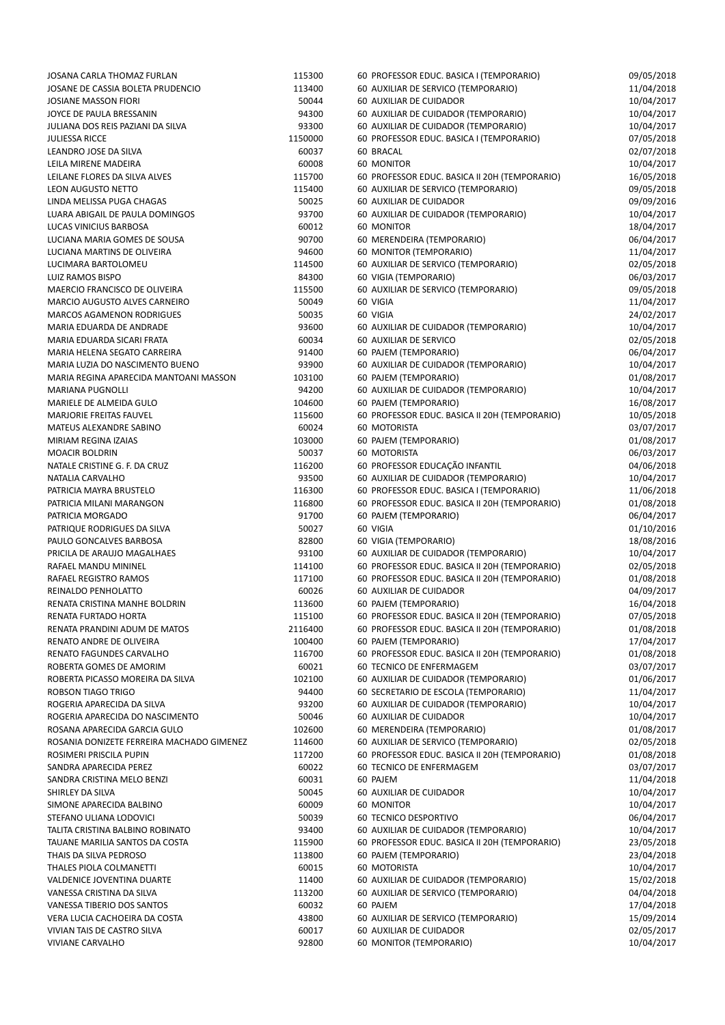| JOSANA CARLA THOMAZ FURLAN                | 11.            |
|-------------------------------------------|----------------|
| JOSANE DE CASSIA BOLETA PRUDENCIO         | 11             |
| <b>JOSIANE MASSON FIORI</b>               | 5              |
| JOYCE DE PAULA BRESSANIN                  | 9,             |
| JULIANA DOS REIS PAZIANI DA SILVA         | 9.             |
| <b>JULIESSA RICCE</b>                     | 115            |
| LEANDRO JOSE DA SILVA                     | 61             |
| LEILA MIRENE MADEIRA                      | 61             |
| LEILANE FLORES DA SILVA ALVES             | 11.            |
| <b>LEON AUGUSTO NETTO</b>                 | 11.            |
| LINDA MELISSA PUGA CHAGAS                 | 5              |
| LUARA ABIGAIL DE PAULA DOMINGOS           | 9.             |
| LUCAS VINICIUS BARBOSA                    | 61             |
| LUCIANA MARIA GOMES DE SOUSA              |                |
|                                           | 91             |
| LUCIANA MARTINS DE OLIVEIRA               | 9,             |
| LUCIMARA BARTOLOMEU                       | 11             |
| LUIZ RAMOS BISPO                          | 8              |
| MAERCIO FRANCISCO DE OLIVEIRA             | 11.            |
| <b>MARCIO AUGUSTO ALVES CARNEIRO</b>      | 51             |
| <b>MARCOS AGAMENON RODRIGUES</b>          | 5              |
| MARIA EDUARDA DE ANDRADE                  | 9.             |
| MARIA EDUARDA SICARI FRATA                | 61             |
| MARIA HELENA SEGATO CARREIRA              | 9.             |
| MARIA LUZIA DO NASCIMENTO BUENO           | 9.             |
| MARIA REGINA APARECIDA MANTOANI MASSON    | 10             |
| MARIANA PUGNOLLI                          | 9,             |
| MARIELE DE ALMEIDA GULO                   | 10             |
| <b>MARJORIE FREITAS FAUVEL</b>            | 11.            |
| MATEUS ALEXANDRE SABINO                   | 6              |
| MIRIAM REGINA IZAIAS                      | 10             |
| <b>MOACIR BOLDRIN</b>                     | 5              |
| NATALE CRISTINE G. F. DA CRUZ             | 11             |
| NATALIA CARVALHO                          | 9.             |
| PATRICIA MAYRA BRUSTELO                   | 11             |
| PATRICIA MILANI MARANGON                  | 11             |
| PATRICIA MORGADO                          | 9.             |
| PATRIQUE RODRIGUES DA SILVA               | 5              |
| PAULO GONCALVES BARBOSA                   | 8.             |
| PRICILA DE ARAUJO MAGALHAES               | 9.             |
| RAFAEL MANDU MININEL                      | 11             |
| RAFAEL REGISTRO RAMOS                     | 11             |
| REINALDO PENHOLATTO                       | 61             |
| RENATA CRISTINA MANHE BOLDRIN             |                |
|                                           | 11.            |
| RENATA FURTADO HORTA                      | 11!            |
| RENATA PRANDINI ADUM DE MATOS             | 211            |
| RENATO ANDRE DE OLIVEIRA                  | 10             |
| RENATO FAGUNDES CARVALHO                  | 11             |
| ROBERTA GOMES DE AMORIM                   | 61             |
| ROBERTA PICASSO MOREIRA DA SILVA          | 10.            |
| ROBSON TIAGO TRIGO                        | 9,             |
| ROGERIA APARECIDA DA SILVA                | 9.             |
| ROGERIA APARECIDA DO NASCIMENTO           | 5              |
| ROSANA APARECIDA GARCIA GULO              | 10.            |
| ROSANIA DONIZETE FERREIRA MACHADO GIMENEZ | 11             |
| ROSIMERI PRISCILA PUPIN                   | 11             |
| SANDRA APARECIDA PEREZ                    | 61             |
| SANDRA CRISTINA MELO BENZI                | 6              |
| SHIRLEY DA SILVA                          | 5              |
| SIMONE APARECIDA BALBINO                  | 61             |
| STEFANO ULIANA LODOVICI                   | 5              |
| TALITA CRISTINA BALBINO ROBINATO          | 9.             |
| TAUANE MARILIA SANTOS DA COSTA            | 11!            |
| THAIS DA SILVA PEDROSO                    | 11             |
| THALES PIOLA COLMANETTI                   | 6              |
| VALDENICE JOVENTINA DUARTE                | $1^{\cdot}$    |
| VANESSA CRISTINA DA SILVA                 | 11             |
| VANESSA TIBERIO DOS SANTOS                | 6 <sub>0</sub> |
| VERA LUCIA CACHOEIRA DA COSTA             | 4              |
| VIVIAN TAIS DE CASTRO SILVA               | 6              |
| <b>VIVIANE CARVALHO</b>                   | 9.             |
|                                           |                |

| JOSANA CARLA THOMAZ FURLAN                | 115300  | 60 PROFESSOR EDUC. BASICA I (TEMPORARIO)      | 09/05/2018 |
|-------------------------------------------|---------|-----------------------------------------------|------------|
| JOSANE DE CASSIA BOLETA PRUDENCIO         | 113400  | 60 AUXILIAR DE SERVICO (TEMPORARIO)           | 11/04/2018 |
| JOSIANE MASSON FIORI                      | 50044   | 60 AUXILIAR DE CUIDADOR                       | 10/04/2017 |
| JOYCE DE PAULA BRESSANIN                  | 94300   | 60 AUXILIAR DE CUIDADOR (TEMPORARIO)          | 10/04/2017 |
| JULIANA DOS REIS PAZIANI DA SILVA         | 93300   | 60 AUXILIAR DE CUIDADOR (TEMPORARIO)          | 10/04/2017 |
| JULIESSA RICCE                            | 1150000 | 60 PROFESSOR EDUC. BASICA I (TEMPORARIO)      | 07/05/2018 |
| LEANDRO JOSE DA SILVA                     | 60037   | 60 BRACAL                                     | 02/07/2018 |
| LEILA MIRENE MADEIRA                      | 60008   | 60 MONITOR                                    | 10/04/2017 |
| LEILANE FLORES DA SILVA ALVES             | 115700  | 60 PROFESSOR EDUC. BASICA II 20H (TEMPORARIO) | 16/05/2018 |
| <b>LEON AUGUSTO NETTO</b>                 | 115400  | 60 AUXILIAR DE SERVICO (TEMPORARIO)           | 09/05/2018 |
| LINDA MELISSA PUGA CHAGAS                 | 50025   | 60 AUXILIAR DE CUIDADOR                       | 09/09/2016 |
| LUARA ABIGAIL DE PAULA DOMINGOS           | 93700   | 60 AUXILIAR DE CUIDADOR (TEMPORARIO)          | 10/04/2017 |
| LUCAS VINICIUS BARBOSA                    | 60012   | 60 MONITOR                                    | 18/04/2017 |
| LUCIANA MARIA GOMES DE SOUSA              | 90700   | 60 MERENDEIRA (TEMPORARIO)                    | 06/04/2017 |
| LUCIANA MARTINS DE OLIVEIRA               | 94600   | 60 MONITOR (TEMPORARIO)                       | 11/04/2017 |
| LUCIMARA BARTOLOMEU                       | 114500  | 60 AUXILIAR DE SERVICO (TEMPORARIO)           | 02/05/2018 |
| LUIZ RAMOS BISPO                          | 84300   | 60 VIGIA (TEMPORARIO)                         | 06/03/2017 |
| MAERCIO FRANCISCO DE OLIVEIRA             | 115500  | 60 AUXILIAR DE SERVICO (TEMPORARIO)           | 09/05/2018 |
| MARCIO AUGUSTO ALVES CARNEIRO             | 50049   | 60 VIGIA                                      | 11/04/2017 |
| <b>MARCOS AGAMENON RODRIGUES</b>          | 50035   | 60 VIGIA                                      | 24/02/2017 |
| MARIA EDUARDA DE ANDRADE                  | 93600   | 60 AUXILIAR DE CUIDADOR (TEMPORARIO)          | 10/04/2017 |
| MARIA EDUARDA SICARI FRATA                | 60034   | 60 AUXILIAR DE SERVICO                        | 02/05/2018 |
| MARIA HELENA SEGATO CARREIRA              | 91400   | 60 PAJEM (TEMPORARIO)                         | 06/04/2017 |
| MARIA LUZIA DO NASCIMENTO BUENO           | 93900   | 60 AUXILIAR DE CUIDADOR (TEMPORARIO)          | 10/04/2017 |
| MARIA REGINA APARECIDA MANTOANI MASSON    | 103100  | 60 PAJEM (TEMPORARIO)                         | 01/08/2017 |
| MARIANA PUGNOLLI                          | 94200   | 60 AUXILIAR DE CUIDADOR (TEMPORARIO)          | 10/04/2017 |
| MARIELE DE ALMEIDA GULO                   | 104600  | 60 PAJEM (TEMPORARIO)                         | 16/08/2017 |
| MARJORIE FREITAS FAUVEL                   | 115600  | 60 PROFESSOR EDUC. BASICA II 20H (TEMPORARIO) | 10/05/2018 |
| MATEUS ALEXANDRE SABINO                   | 60024   | 60 MOTORISTA                                  | 03/07/2017 |
| MIRIAM REGINA IZAIAS                      | 103000  | 60 PAJEM (TEMPORARIO)                         | 01/08/2017 |
| MOACIR BOLDRIN                            | 50037   | 60 MOTORISTA                                  | 06/03/2017 |
| NATALE CRISTINE G. F. DA CRUZ             | 116200  | 60 PROFESSOR EDUCAÇÃO INFANTIL                | 04/06/2018 |
| NATALIA CARVALHO                          | 93500   | 60 AUXILIAR DE CUIDADOR (TEMPORARIO)          | 10/04/2017 |
| PATRICIA MAYRA BRUSTELO                   | 116300  | 60 PROFESSOR EDUC. BASICA I (TEMPORARIO)      | 11/06/2018 |
| PATRICIA MILANI MARANGON                  | 116800  | 60 PROFESSOR EDUC. BASICA II 20H (TEMPORARIO) | 01/08/2018 |
| PATRICIA MORGADO                          | 91700   | 60 PAJEM (TEMPORARIO)                         | 06/04/2017 |
| PATRIQUE RODRIGUES DA SILVA               | 50027   | 60 VIGIA                                      | 01/10/2016 |
| PAULO GONCALVES BARBOSA                   | 82800   | 60 VIGIA (TEMPORARIO)                         | 18/08/2016 |
| PRICILA DE ARAUJO MAGALHAES               | 93100   | 60 AUXILIAR DE CUIDADOR (TEMPORARIO)          | 10/04/2017 |
| RAFAEL MANDU MININEL                      | 114100  | 60 PROFESSOR EDUC. BASICA II 20H (TEMPORARIO) | 02/05/2018 |
| RAFAEL REGISTRO RAMOS                     | 117100  | 60 PROFESSOR EDUC. BASICA II 20H (TEMPORARIO) | 01/08/2018 |
| REINALDO PENHOLATTO                       | 60026   | 60 AUXILIAR DE CUIDADOR                       | 04/09/2017 |
| RENATA CRISTINA MANHE BOLDRIN             | 113600  | 60 PAJEM (TEMPORARIO)                         | 16/04/2018 |
| RENATA FURTADO HORTA                      | 115100  | 60 PROFESSOR EDUC. BASICA II 20H (TEMPORARIO) | 07/05/2018 |
| RENATA PRANDINI ADUM DE MATOS             | 2116400 | 60 PROFESSOR EDUC. BASICA II 20H (TEMPORARIO) | 01/08/2018 |
| RENATO ANDRE DE OLIVEIRA                  | 100400  | 60 PAJEM (TEMPORARIO)                         | 17/04/2017 |
| RENATO FAGUNDES CARVALHO                  | 116700  | 60 PROFESSOR EDUC. BASICA II 20H (TEMPORARIO) | 01/08/2018 |
| ROBERTA GOMES DE AMORIM                   | 60021   | 60 TECNICO DE ENFERMAGEM                      | 03/07/2017 |
| ROBERTA PICASSO MOREIRA DA SILVA          | 102100  | 60 AUXILIAR DE CUIDADOR (TEMPORARIO)          | 01/06/2017 |
| ROBSON TIAGO TRIGO                        | 94400   | 60 SECRETARIO DE ESCOLA (TEMPORARIO)          | 11/04/2017 |
| ROGERIA APARECIDA DA SILVA                | 93200   | 60 AUXILIAR DE CUIDADOR (TEMPORARIO)          | 10/04/2017 |
| ROGERIA APARECIDA DO NASCIMENTO           | 50046   | 60 AUXILIAR DE CUIDADOR                       | 10/04/2017 |
| ROSANA APARECIDA GARCIA GULO              | 102600  | 60 MERENDEIRA (TEMPORARIO)                    | 01/08/2017 |
| ROSANIA DONIZETE FERREIRA MACHADO GIMENEZ | 114600  | 60 AUXILIAR DE SERVICO (TEMPORARIO)           | 02/05/2018 |
| ROSIMERI PRISCILA PUPIN                   | 117200  | 60 PROFESSOR EDUC. BASICA II 20H (TEMPORARIO) | 01/08/2018 |
| SANDRA APARECIDA PEREZ                    | 60022   | 60 TECNICO DE ENFERMAGEM                      | 03/07/2017 |
| SANDRA CRISTINA MELO BENZI                | 60031   | 60 PAJEM                                      | 11/04/2018 |
| SHIRLEY DA SILVA                          | 50045   | 60 AUXILIAR DE CUIDADOR                       | 10/04/2017 |
| SIMONE APARECIDA BALBINO                  | 60009   | 60 MONITOR                                    | 10/04/2017 |
| STEFANO ULIANA LODOVICI                   | 50039   | 60 TECNICO DESPORTIVO                         | 06/04/2017 |
| TALITA CRISTINA BALBINO ROBINATO          | 93400   | 60 AUXILIAR DE CUIDADOR (TEMPORARIO)          | 10/04/2017 |
| TAUANE MARILIA SANTOS DA COSTA            | 115900  | 60 PROFESSOR EDUC. BASICA II 20H (TEMPORARIO) | 23/05/2018 |
| THAIS DA SILVA PEDROSO                    | 113800  | 60 PAJEM (TEMPORARIO)                         | 23/04/2018 |
| THALES PIOLA COLMANETTI                   | 60015   | 60 MOTORISTA                                  | 10/04/2017 |
| VALDENICE JOVENTINA DUARTE                | 11400   | 60 AUXILIAR DE CUIDADOR (TEMPORARIO)          | 15/02/2018 |
| VANESSA CRISTINA DA SILVA                 | 113200  | 60 AUXILIAR DE SERVICO (TEMPORARIO)           | 04/04/2018 |
| VANESSA TIBERIO DOS SANTOS                | 60032   | 60 PAJEM                                      | 17/04/2018 |
| VERA LUCIA CACHOEIRA DA COSTA             | 43800   | 60 AUXILIAR DE SERVICO (TEMPORARIO)           | 15/09/2014 |
| VIVIAN TAIS DE CASTRO SILVA               | 60017   | 60 AUXILIAR DE CUIDADOR                       | 02/05/2017 |
| VIVIANE CARVALHO                          | 92800   | 60 MONITOR (TEMPORARIO)                       | 10/04/2017 |